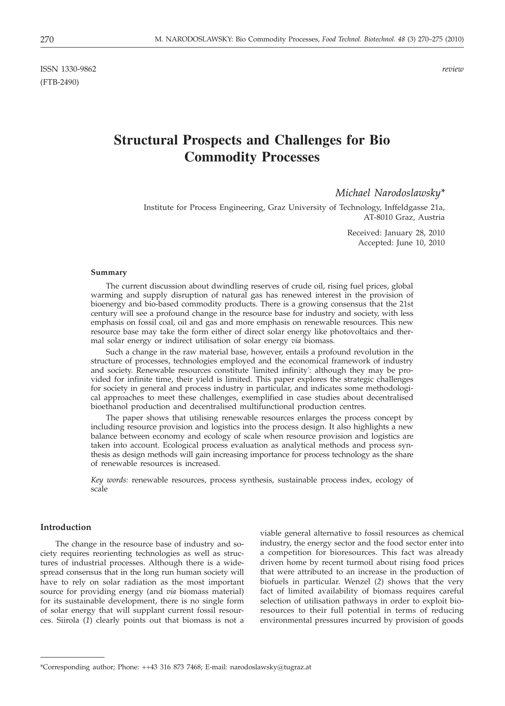ISSN 1330-9862 *review* (FTB-2490)

# **Structural Prospects and Challenges for Bio Commodity Processes**

*Michael Narodoslawsky\**

Institute for Process Engineering, Graz University of Technology, Inffeldgasse 21a, AT-8010 Graz, Austria

> Received: January 28, 2010 Accepted: June 10, 2010

#### **Summary**

The current discussion about dwindling reserves of crude oil, rising fuel prices, global warming and supply disruption of natural gas has renewed interest in the provision of bioenergy and bio-based commodity products. There is a growing consensus that the 21st century will see a profound change in the resource base for industry and society, with less emphasis on fossil coal, oil and gas and more emphasis on renewable resources. This new resource base may take the form either of direct solar energy like photovoltaics and thermal solar energy or indirect utilisation of solar energy *via* biomass.

Such a change in the raw material base, however, entails a profound revolution in the structure of processes, technologies employed and the economical framework of industry and society. Renewable resources constitute 'limited infinity': although they may be provided for infinite time, their yield is limited. This paper explores the strategic challenges for society in general and process industry in particular, and indicates some methodological approaches to meet these challenges, exemplified in case studies about decentralised bioethanol production and decentralised multifunctional production centres.

The paper shows that utilising renewable resources enlarges the process concept by including resource provision and logistics into the process design. It also highlights a new balance between economy and ecology of scale when resource provision and logistics are taken into account. Ecological process evaluation as analytical methods and process synthesis as design methods will gain increasing importance for process technology as the share of renewable resources is increased.

*Key words:* renewable resources, process synthesis, sustainable process index, ecology of scale

# **Introduction**

The change in the resource base of industry and society requires reorienting technologies as well as structures of industrial processes. Although there is a widespread consensus that in the long run human society will have to rely on solar radiation as the most important source for providing energy (and *via* biomass material) for its sustainable development, there is no single form of solar energy that will supplant current fossil resources. Siirola (*1*) clearly points out that biomass is not a

viable general alternative to fossil resources as chemical industry, the energy sector and the food sector enter into a competition for bioresources. This fact was already driven home by recent turmoil about rising food prices that were attributed to an increase in the production of biofuels in particular. Wenzel (*2*) shows that the very fact of limited availability of biomass requires careful selection of utilisation pathways in order to exploit bioresources to their full potential in terms of reducing environmental pressures incurred by provision of goods

<sup>\*</sup>Corresponding author; Phone: ++43 316 873 7468; E-mail: narodoslawsky@tugraz.at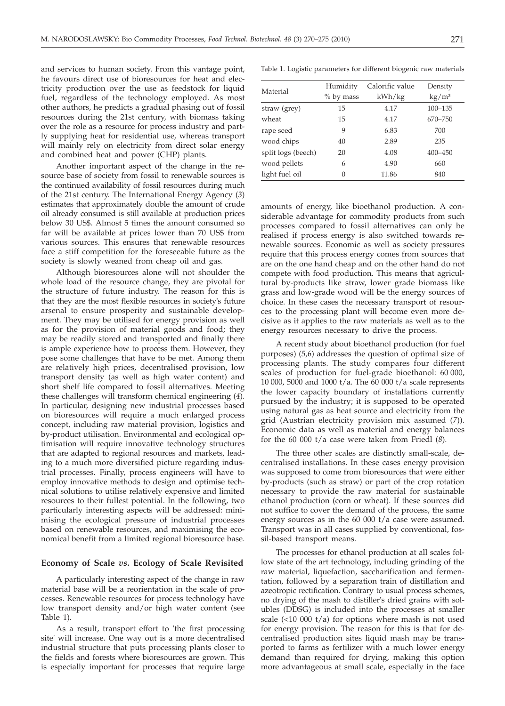and services to human society. From this vantage point, he favours direct use of bioresources for heat and electricity production over the use as feedstock for liquid fuel, regardless of the technology employed. As most other authors, he predicts a gradual phasing out of fossil resources during the 21st century, with biomass taking over the role as a resource for process industry and partly supplying heat for residential use, whereas transport will mainly rely on electricity from direct solar energy and combined heat and power (CHP) plants.

Another important aspect of the change in the resource base of society from fossil to renewable sources is the continued availability of fossil resources during much of the 21st century. The International Energy Agency (*3*) estimates that approximately double the amount of crude oil already consumed is still available at production prices below 30 US\$. Almost 5 times the amount consumed so far will be available at prices lower than 70 US\$ from various sources. This ensures that renewable resources face a stiff competition for the foreseeable future as the society is slowly weaned from cheap oil and gas.

Although bioresources alone will not shoulder the whole load of the resource change, they are pivotal for the structure of future industry. The reason for this is that they are the most flexible resources in society's future arsenal to ensure prosperity and sustainable development. They may be utilised for energy provision as well as for the provision of material goods and food; they may be readily stored and transported and finally there is ample experience how to process them. However, they pose some challenges that have to be met. Among them are relatively high prices, decentralised provision, low transport density (as well as high water content) and short shelf life compared to fossil alternatives. Meeting these challenges will transform chemical engineering (*4*). In particular, designing new industrial processes based on bioresources will require a much enlarged process concept, including raw material provision, logistics and by-product utilisation. Environmental and ecological optimisation will require innovative technology structures that are adapted to regional resources and markets, leading to a much more diversified picture regarding industrial processes. Finally, process engineers will have to employ innovative methods to design and optimise technical solutions to utilise relatively expensive and limited resources to their fullest potential. In the following, two particularly interesting aspects will be addressed: minimising the ecological pressure of industrial processes based on renewable resources, and maximising the economical benefit from a limited regional bioresource base.

### **Economy of Scale** *vs.* **Ecology of Scale Revisited**

A particularly interesting aspect of the change in raw material base will be a reorientation in the scale of processes. Renewable resources for process technology have low transport density and/or high water content (see Table 1).

As a result, transport effort to 'the first processing site' will increase. One way out is a more decentralised industrial structure that puts processing plants closer to the fields and forests where bioresources are grown. This is especially important for processes that require large

Table 1. Logistic parameters for different biogenic raw materials

| Material           | Humidity<br>% by mass | Calorific value<br>kWh/kg | Density<br>$\text{kg}/\text{m}^3$ |
|--------------------|-----------------------|---------------------------|-----------------------------------|
| straw (grey)       | 15                    | 4.17                      | $100 - 135$                       |
| wheat              | 15                    | 4.17                      | 670-750                           |
| rape seed          | 9                     | 6.83                      | 700                               |
| wood chips         | 40                    | 2.89                      | 235                               |
| split logs (beech) | 20                    | 4.08                      | $400 - 450$                       |
| wood pellets       | 6                     | 4.90                      | 660                               |
| light fuel oil     | 0                     | 11.86                     | 840                               |

amounts of energy, like bioethanol production. A considerable advantage for commodity products from such processes compared to fossil alternatives can only be realised if process energy is also switched towards renewable sources. Economic as well as society pressures require that this process energy comes from sources that are on the one hand cheap and on the other hand do not compete with food production. This means that agricultural by-products like straw, lower grade biomass like grass and low-grade wood will be the energy sources of choice. In these cases the necessary transport of resources to the processing plant will become even more decisive as it applies to the raw materials as well as to the energy resources necessary to drive the process.

A recent study about bioethanol production (for fuel purposes) (*5,6*) addresses the question of optimal size of processing plants. The study compares four different scales of production for fuel-grade bioethanol: 60 000, 10 000, 5000 and 1000 t/a. The 60 000 t/a scale represents the lower capacity boundary of installations currently pursued by the industry; it is supposed to be operated using natural gas as heat source and electricity from the grid (Austrian electricity provision mix assumed (*7*)). Economic data as well as material and energy balances for the 60 000 t/a case were taken from Friedl (*8*).

The three other scales are distinctly small-scale, decentralised installations. In these cases energy provision was supposed to come from bioresources that were either by-products (such as straw) or part of the crop rotation necessary to provide the raw material for sustainable ethanol production (corn or wheat). If these sources did not suffice to cover the demand of the process, the same energy sources as in the 60 000 t/a case were assumed. Transport was in all cases supplied by conventional, fossil-based transport means.

The processes for ethanol production at all scales follow state of the art technology, including grinding of the raw material, liquefaction, saccharification and fermentation, followed by a separation train of distillation and azeotropic rectification. Contrary to usual process schemes, no drying of the mash to distiller's dried grains with solubles (DDSG) is included into the processes at smaller scale  $(\leq 10\;000\;t/a)$  for options where mash is not used for energy provision. The reason for this is that for decentralised production sites liquid mash may be transported to farms as fertilizer with a much lower energy demand than required for drying, making this option more advantageous at small scale, especially in the face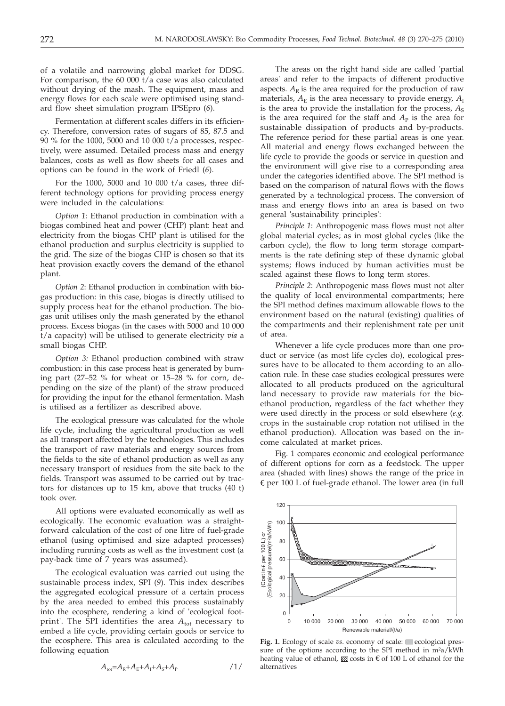of a volatile and narrowing global market for DDSG. For comparison, the 60 000  $t/a$  case was also calculated without drying of the mash. The equipment, mass and energy flows for each scale were optimised using standard flow sheet simulation program IPSEpro (*6*).

Fermentation at different scales differs in its efficiency. Therefore, conversion rates of sugars of 85, 87.5 and 90 % for the 1000, 5000 and 10 000 t/a processes, respectively, were assumed. Detailed process mass and energy balances, costs as well as flow sheets for all cases and options can be found in the work of Friedl (*6*).

For the 1000, 5000 and 10 000 t/a cases, three different technology options for providing process energy were included in the calculations:

*Option 1:* Ethanol production in combination with a biogas combined heat and power (CHP) plant: heat and electricity from the biogas CHP plant is utilised for the ethanol production and surplus electricity is supplied to the grid. The size of the biogas CHP is chosen so that its heat provision exactly covers the demand of the ethanol plant.

*Option 2*: Ethanol production in combination with biogas production: in this case, biogas is directly utilised to supply process heat for the ethanol production. The biogas unit utilises only the mash generated by the ethanol process. Excess biogas (in the cases with 5000 and 10 000 t/a capacity) will be utilised to generate electricity *via* a small biogas CHP.

*Option 3:* Ethanol production combined with straw combustion: in this case process heat is generated by burning part (27–52 % for wheat or 15–28 % for corn, depending on the size of the plant) of the straw produced for providing the input for the ethanol fermentation. Mash is utilised as a fertilizer as described above.

The ecological pressure was calculated for the whole life cycle, including the agricultural production as well as all transport affected by the technologies. This includes the transport of raw materials and energy sources from the fields to the site of ethanol production as well as any necessary transport of residues from the site back to the fields. Transport was assumed to be carried out by tractors for distances up to 15 km, above that trucks (40 t) took over.

All options were evaluated economically as well as ecologically. The economic evaluation was a straightforward calculation of the cost of one litre of fuel-grade ethanol (using optimised and size adapted processes) including running costs as well as the investment cost (a pay-back time of 7 years was assumed).

The ecological evaluation was carried out using the sustainable process index, SPI (*9*). This index describes the aggregated ecological pressure of a certain process by the area needed to embed this process sustainably into the ecosphere, rendering a kind of 'ecological footprint'. The SPI identifies the area  $A_{\text{tot}}$  necessary to embed a life cycle, providing certain goods or service to the ecosphere. This area is calculated according to the following equation

$$
A_{\rm tot} = A_{\rm R} + A_{\rm E} + A_{\rm I} + A_{\rm S} + A_{\rm P}
$$

The areas on the right hand side are called 'partial areas' and refer to the impacts of different productive aspects.  $A_R$  is the area required for the production of raw materials,  $A_{\rm E}$  is the area necessary to provide energy,  $A_{\rm I}$ is the area to provide the installation for the process,  $A<sub>S</sub>$ is the area required for the staff and  $A<sub>P</sub>$  is the area for sustainable dissipation of products and by-products. The reference period for these partial areas is one year. All material and energy flows exchanged between the life cycle to provide the goods or service in question and the environment will give rise to a corresponding area under the categories identified above. The SPI method is based on the comparison of natural flows with the flows generated by a technological process. The conversion of mass and energy flows into an area is based on two general 'sustainability principles':

*Principle 1*: Anthropogenic mass flows must not alter global material cycles; as in most global cycles (like the carbon cycle), the flow to long term storage compartments is the rate defining step of these dynamic global systems; flows induced by human activities must be scaled against these flows to long term stores.

*Principle 2*: Anthropogenic mass flows must not alter the quality of local environmental compartments; here the SPI method defines maximum allowable flows to the environment based on the natural (existing) qualities of the compartments and their replenishment rate per unit of area.

Whenever a life cycle produces more than one product or service (as most life cycles do), ecological pressures have to be allocated to them according to an allocation rule. In these case studies ecological pressures were allocated to all products produced on the agricultural land necessary to provide raw materials for the bioethanol production, regardless of the fact whether they were used directly in the process or sold elsewhere (*e.g.* crops in the sustainable crop rotation not utilised in the ethanol production). Allocation was based on the income calculated at market prices.

Fig. 1 compares economic and ecological performance of different options for corn as a feedstock. The upper area (shaded with lines) shows the range of the price in  $\epsilon$  per 100 L of fuel-grade ethanol. The lower area (in full



**Fig. 1.** Ecology of scale *vs*. economy of scale: ecological pressure of the options according to the SPI method in m<sup>2</sup>a/kWh heating value of ethanol,  $\overline{\mathcal{S}}$  costs in  $\epsilon$  of 100 L of ethanol for the alternatives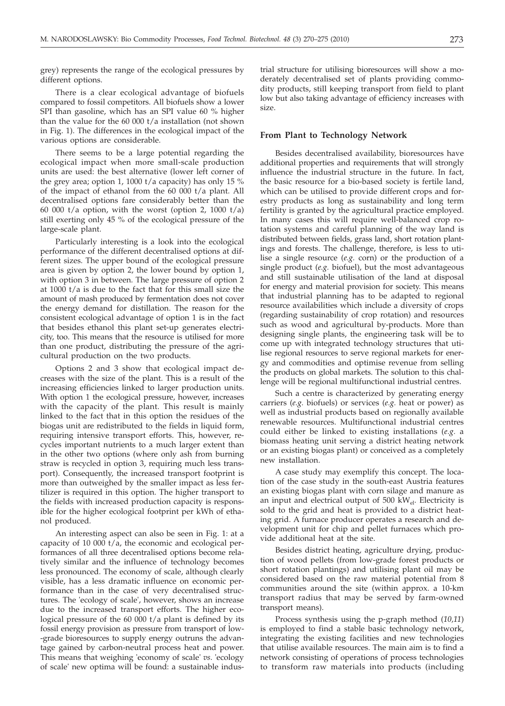grey) represents the range of the ecological pressures by different options.

There is a clear ecological advantage of biofuels compared to fossil competitors. All biofuels show a lower SPI than gasoline, which has an SPI value 60 % higher than the value for the 60 000 t/a installation (not shown in Fig. 1). The differences in the ecological impact of the various options are considerable.

There seems to be a large potential regarding the ecological impact when more small-scale production units are used: the best alternative (lower left corner of the grey area; option 1, 1000 t/a capacity) has only 15 % of the impact of ethanol from the 60 000 t/a plant. All decentralised options fare considerably better than the 60 000 t/a option, with the worst (option 2, 1000 t/a) still exerting only 45 % of the ecological pressure of the large-scale plant.

Particularly interesting is a look into the ecological performance of the different decentralised options at different sizes. The upper bound of the ecological pressure area is given by option 2, the lower bound by option 1, with option 3 in between. The large pressure of option 2 at 1000 t/a is due to the fact that for this small size the amount of mash produced by fermentation does not cover the energy demand for distillation. The reason for the consistent ecological advantage of option 1 is in the fact that besides ethanol this plant set-up generates electricity, too. This means that the resource is utilised for more than one product, distributing the pressure of the agricultural production on the two products.

Options 2 and 3 show that ecological impact decreases with the size of the plant. This is a result of the increasing efficiencies linked to larger production units. With option 1 the ecological pressure, however, increases with the capacity of the plant. This result is mainly linked to the fact that in this option the residues of the biogas unit are redistributed to the fields in liquid form, requiring intensive transport efforts. This, however, recycles important nutrients to a much larger extent than in the other two options (where only ash from burning straw is recycled in option 3, requiring much less transport). Consequently, the increased transport footprint is more than outweighed by the smaller impact as less fertilizer is required in this option. The higher transport to the fields with increased production capacity is responsible for the higher ecological footprint per kWh of ethanol produced.

An interesting aspect can also be seen in Fig. 1: at a capacity of 10 000 t/a, the economic and ecological performances of all three decentralised options become relatively similar and the influence of technology becomes less pronounced. The economy of scale, although clearly visible, has a less dramatic influence on economic performance than in the case of very decentralised structures. The 'ecology of scale', however, shows an increase due to the increased transport efforts. The higher ecological pressure of the 60 000 t/a plant is defined by its fossil energy provision as pressure from transport of low- -grade bioresources to supply energy outruns the advantage gained by carbon-neutral process heat and power. This means that weighing 'economy of scale' *vs*. 'ecology of scale' new optima will be found: a sustainable indus-

trial structure for utilising bioresources will show a moderately decentralised set of plants providing commodity products, still keeping transport from field to plant low but also taking advantage of efficiency increases with size.

## **From Plant to Technology Network**

Besides decentralised availability, bioresources have additional properties and requirements that will strongly influence the industrial structure in the future. In fact, the basic resource for a bio-based society is fertile land, which can be utilised to provide different crops and forestry products as long as sustainability and long term fertility is granted by the agricultural practice employed. In many cases this will require well-balanced crop rotation systems and careful planning of the way land is distributed between fields, grass land, short rotation plantings and forests. The challenge, therefore, is less to utilise a single resource (*e.g.* corn) or the production of a single product (*e.g.* biofuel), but the most advantageous and still sustainable utilisation of the land at disposal for energy and material provision for society. This means that industrial planning has to be adapted to regional resource availabilities which include a diversity of crops (regarding sustainability of crop rotation) and resources such as wood and agricultural by-products. More than designing single plants, the engineering task will be to come up with integrated technology structures that utilise regional resources to serve regional markets for energy and commodities and optimise revenue from selling the products on global markets. The solution to this challenge will be regional multifunctional industrial centres.

Such a centre is characterized by generating energy carriers (*e.g.* biofuels) or services (*e.g.* heat or power) as well as industrial products based on regionally available renewable resources. Multifunctional industrial centres could either be linked to existing installations (*e.g.* a biomass heating unit serving a district heating network or an existing biogas plant) or conceived as a completely new installation.

A case study may exemplify this concept. The location of the case study in the south-east Austria features an existing biogas plant with corn silage and manure as an input and electrical output of  $500 \text{ kW}_{\rho}$ . Electricity is sold to the grid and heat is provided to a district heating grid. A furnace producer operates a research and development unit for chip and pellet furnaces which provide additional heat at the site.

Besides district heating, agriculture drying, production of wood pellets (from low-grade forest products or short rotation plantings) and utilising plant oil may be considered based on the raw material potential from 8 communities around the site (within approx. a 10-km transport radius that may be served by farm-owned transport means).

Process synthesis using the p-graph method (*10,11*) is employed to find a stable basic technology network, integrating the existing facilities and new technologies that utilise available resources. The main aim is to find a network consisting of operations of process technologies to transform raw materials into products (including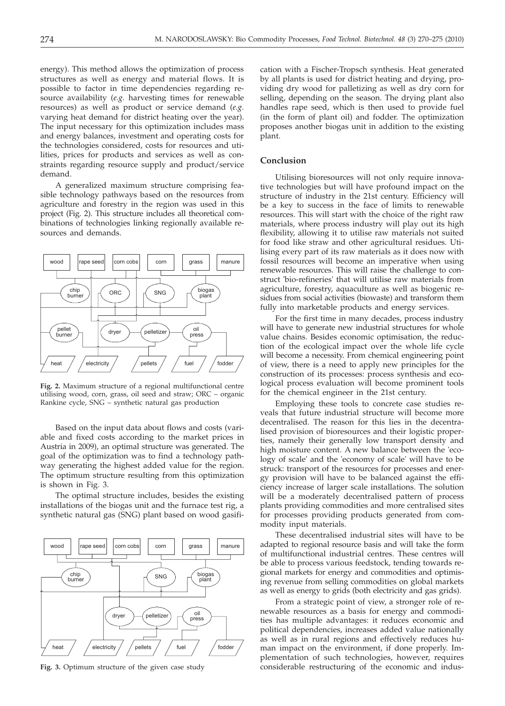energy). This method allows the optimization of process structures as well as energy and material flows. It is possible to factor in time dependencies regarding resource availability (*e.g.* harvesting times for renewable resources) as well as product or service demand (*e.g.* varying heat demand for district heating over the year). The input necessary for this optimization includes mass and energy balances, investment and operating costs for the technologies considered, costs for resources and utilities, prices for products and services as well as constraints regarding resource supply and product/service demand.

A generalized maximum structure comprising feasible technology pathways based on the resources from agriculture and forestry in the region was used in this project (Fig. 2). This structure includes all theoretical combinations of technologies linking regionally available resources and demands.



**Fig. 2.** Maximum structure of a regional multifunctional centre utilising wood, corn, grass, oil seed and straw; ORC – organic Rankine cycle, SNG – synthetic natural gas production

Based on the input data about flows and costs (variable and fixed costs according to the market prices in Austria in 2009), an optimal structure was generated. The goal of the optimization was to find a technology pathway generating the highest added value for the region. The optimum structure resulting from this optimization is shown in Fig. 3.

The optimal structure includes, besides the existing installations of the biogas unit and the furnace test rig, a synthetic natural gas (SNG) plant based on wood gasifi-



**Fig. 3.** Optimum structure of the given case study

cation with a Fischer-Tropsch synthesis. Heat generated by all plants is used for district heating and drying, providing dry wood for palletizing as well as dry corn for selling, depending on the season. The drying plant also handles rape seed, which is then used to provide fuel (in the form of plant oil) and fodder. The optimization proposes another biogas unit in addition to the existing plant.

# **Conclusion**

Utilising bioresources will not only require innovative technologies but will have profound impact on the structure of industry in the 21st century. Efficiency will be a key to success in the face of limits to renewable resources. This will start with the choice of the right raw materials, where process industry will play out its high flexibility, allowing it to utilise raw materials not suited for food like straw and other agricultural residues. Utilising every part of its raw materials as it does now with fossil resources will become an imperative when using renewable resources. This will raise the challenge to construct 'bio-refineries' that will utilise raw materials from agriculture, forestry, aquaculture as well as biogenic residues from social activities (biowaste) and transform them fully into marketable products and energy services.

For the first time in many decades, process industry will have to generate new industrial structures for whole value chains. Besides economic optimisation, the reduction of the ecological impact over the whole life cycle will become a necessity. From chemical engineering point of view, there is a need to apply new principles for the construction of its processes: process synthesis and ecological process evaluation will become prominent tools for the chemical engineer in the 21st century.

Employing these tools to concrete case studies reveals that future industrial structure will become more decentralised. The reason for this lies in the decentralised provision of bioresources and their logistic properties, namely their generally low transport density and high moisture content. A new balance between the 'ecology of scale' and the 'economy of scale' will have to be struck: transport of the resources for processes and energy provision will have to be balanced against the efficiency increase of larger scale installations. The solution will be a moderately decentralised pattern of process plants providing commodities and more centralised sites for processes providing products generated from commodity input materials.

These decentralised industrial sites will have to be adapted to regional resource basis and will take the form of multifunctional industrial centres. These centres will be able to process various feedstock, tending towards regional markets for energy and commodities and optimising revenue from selling commodities on global markets as well as energy to grids (both electricity and gas grids).

From a strategic point of view, a stronger role of renewable resources as a basis for energy and commodities has multiple advantages: it reduces economic and political dependencies, increases added value nationally as well as in rural regions and effectively reduces human impact on the environment, if done properly. Implementation of such technologies, however, requires considerable restructuring of the economic and indus